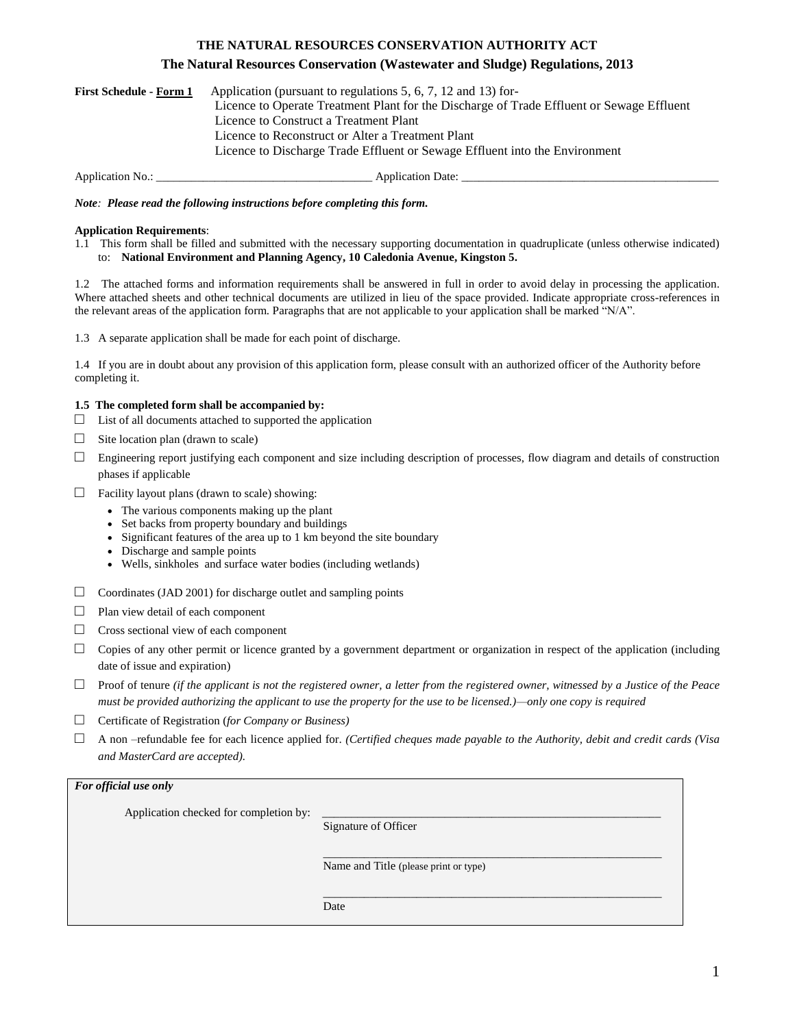# **THE NATURAL RESOURCES CONSERVATION AUTHORITY ACT**

# **The Natural Resources Conservation (Wastewater and Sludge) Regulations, 2013**

| Application (pursuant to regulations 5, 6, 7, 12 and 13) for-<br><b>First Schedule - Form 1</b> |                                                                                           |
|-------------------------------------------------------------------------------------------------|-------------------------------------------------------------------------------------------|
|                                                                                                 | Licence to Operate Treatment Plant for the Discharge of Trade Effluent or Sewage Effluent |
|                                                                                                 | Licence to Construct a Treatment Plant                                                    |
|                                                                                                 | Licence to Reconstruct or Alter a Treatment Plant                                         |
|                                                                                                 | Licence to Discharge Trade Effluent or Sewage Effluent into the Environment               |
|                                                                                                 |                                                                                           |

Application No.: \_\_\_\_\_\_\_\_\_\_\_\_\_\_\_\_\_\_\_\_\_\_\_\_\_\_\_\_\_\_\_\_\_\_\_\_\_ Application Date: \_\_\_\_\_\_\_\_\_\_\_\_\_\_\_\_\_\_\_\_\_\_\_\_\_\_\_\_\_\_\_\_\_\_\_\_\_\_\_\_\_\_\_\_

*Note: Please read the following instructions before completing this form.*

#### **Application Requirements**:

1.1 This form shall be filled and submitted with the necessary supporting documentation in quadruplicate (unless otherwise indicated) to: **National Environment and Planning Agency, 10 Caledonia Avenue, Kingston 5.**

1.2 The attached forms and information requirements shall be answered in full in order to avoid delay in processing the application. Where attached sheets and other technical documents are utilized in lieu of the space provided. Indicate appropriate cross-references in the relevant areas of the application form. Paragraphs that are not applicable to your application shall be marked "N/A".

1.3 A separate application shall be made for each point of discharge.

1.4 If you are in doubt about any provision of this application form, please consult with an authorized officer of the Authority before completing it.

## **1.5 The completed form shall be accompanied by:**

- $\Box$  List of all documents attached to supported the application
- $\Box$  Site location plan (drawn to scale)
- $\Box$  Engineering report justifying each component and size including description of processes, flow diagram and details of construction phases if applicable
- $\Box$  Facility layout plans (drawn to scale) showing:
	- The various components making up the plant
	- Set backs from property boundary and buildings
	- Significant features of the area up to 1 km beyond the site boundary
	- Discharge and sample points
	- Wells, sinkholes and surface water bodies (including wetlands)
- $\Box$  Coordinates (JAD 2001) for discharge outlet and sampling points
- □ Plan view detail of each component
- □ Cross sectional view of each component
- $\Box$  Copies of any other permit or licence granted by a government department or organization in respect of the application (including date of issue and expiration)
- □ Proof of tenure *(if the applicant is not the registered owner, a letter from the registered owner, witnessed by a Justice of the Peace must be provided authorizing the applicant to use the property for the use to be licensed.)—only one copy is required*
- □ Certificate of Registration (*for Company or Business)*
- $\Box$  A non –refundable fee for each licence applied for. *(Certified cheques made payable to the Authority, debit and credit cards (Visa and MasterCard are accepted).*

| For official use only                  |                                       |  |
|----------------------------------------|---------------------------------------|--|
| Application checked for completion by: | Signature of Officer                  |  |
|                                        | Name and Title (please print or type) |  |
|                                        | Date                                  |  |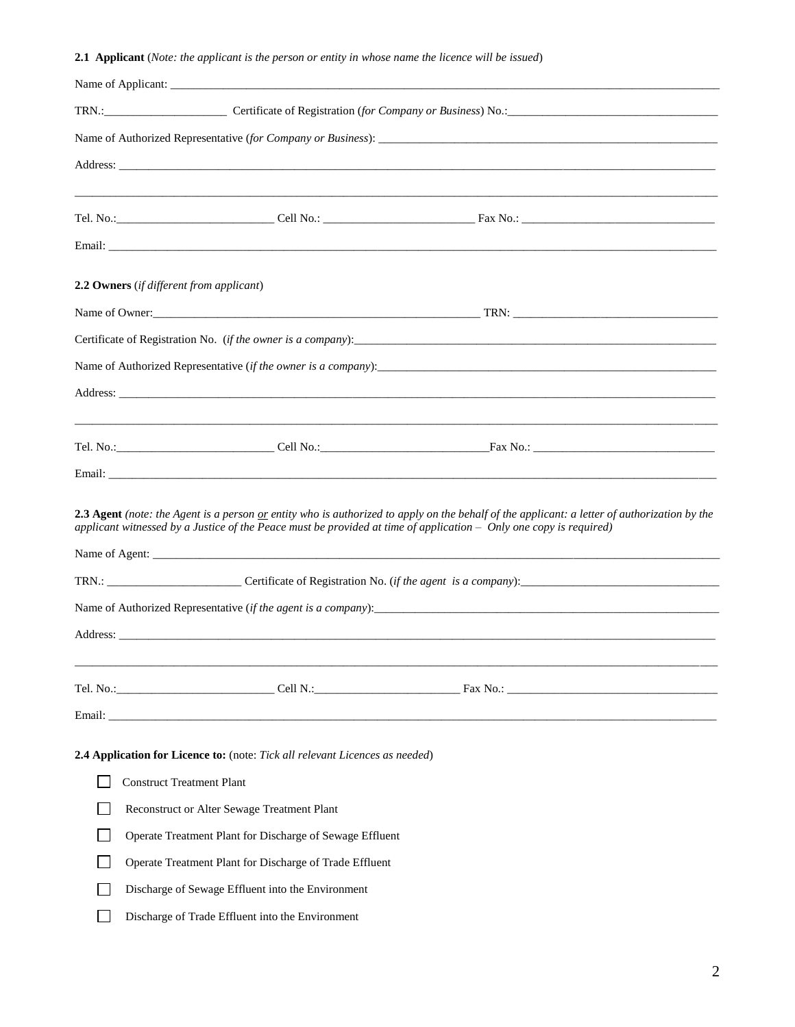# **2.1 Applicant** (*Note: the applicant is the person or entity in whose name the licence will be issued*)

|        | Address: <u>New York: Address: New York: New York: New York: New York: New York: New York: New York: New York: New York: New York: New York: New York: New York: New York: New York: New York: New York: New York: New York: New</u>                               |
|--------|--------------------------------------------------------------------------------------------------------------------------------------------------------------------------------------------------------------------------------------------------------------------|
|        |                                                                                                                                                                                                                                                                    |
|        |                                                                                                                                                                                                                                                                    |
|        |                                                                                                                                                                                                                                                                    |
|        | 2.2 Owners (if different from applicant)                                                                                                                                                                                                                           |
|        |                                                                                                                                                                                                                                                                    |
|        |                                                                                                                                                                                                                                                                    |
|        |                                                                                                                                                                                                                                                                    |
|        |                                                                                                                                                                                                                                                                    |
|        | ,我们也不能会在这里,我们的人们就会在这里,我们的人们就会在这里,我们的人们就会在这里,我们的人们就会在这里,我们的人们就会在这里,我们的人们就会在这里,我们的                                                                                                                                                                                   |
|        |                                                                                                                                                                                                                                                                    |
|        |                                                                                                                                                                                                                                                                    |
|        | 2.3 Agent (note: the Agent is a person or entity who is authorized to apply on the behalf of the applicant: a letter of authorization by the<br>applicant witnessed by a Justice of the Peace must be provided at time of application - Only one copy is required) |
|        |                                                                                                                                                                                                                                                                    |
|        |                                                                                                                                                                                                                                                                    |
|        | Address: Note that the contract of the contract of the contract of the contract of the contract of the contract of the contract of the contract of the contract of the contract of the contract of the contract of the contrac                                     |
|        |                                                                                                                                                                                                                                                                    |
|        |                                                                                                                                                                                                                                                                    |
|        |                                                                                                                                                                                                                                                                    |
|        | 2.4 Application for Licence to: (note: Tick all relevant Licences as needed)                                                                                                                                                                                       |
|        | <b>Construct Treatment Plant</b>                                                                                                                                                                                                                                   |
|        | Reconstruct or Alter Sewage Treatment Plant                                                                                                                                                                                                                        |
| $\sim$ | Operate Treatment Plant for Discharge of Sewage Effluent                                                                                                                                                                                                           |
|        | Operate Treatment Plant for Discharge of Trade Effluent                                                                                                                                                                                                            |
|        | Discharge of Sewage Effluent into the Environment                                                                                                                                                                                                                  |
|        | Discharge of Trade Effluent into the Environment                                                                                                                                                                                                                   |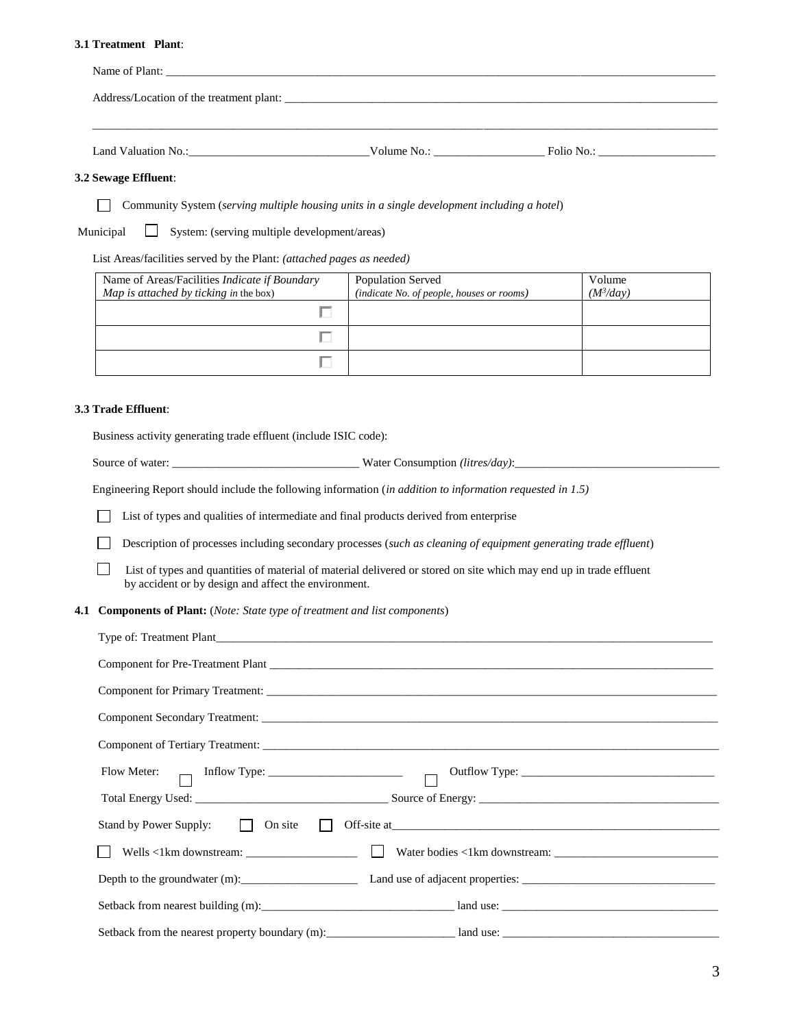### **3.1 Treatment Plant**:

| Address/Location of the treatment plant: |             |                       |  |
|------------------------------------------|-------------|-----------------------|--|
|                                          |             |                       |  |
| Land Valuation No.:                      | Volume No.: | $\text{Folio No.:}\n$ |  |

## **3.2 Sewage Effluent**:

Community System (*serving multiple housing units in a single development including a hotel*)

Municipal System: (serving multiple development/areas)

List Areas/facilities served by the Plant: *(attached pages as needed)*

| Name of Areas/Facilities Indicate if Boundary<br>Map is attached by ticking in the box) | <b>Population Served</b><br>(indicate No. of people, houses or rooms) | Volume<br>$(M^3$ /day) |
|-----------------------------------------------------------------------------------------|-----------------------------------------------------------------------|------------------------|
|                                                                                         |                                                                       |                        |
|                                                                                         |                                                                       |                        |
|                                                                                         |                                                                       |                        |

#### **3.3 Trade Effluent**:

Business activity generating trade effluent (include ISIC code):

Source of water: \_\_\_\_\_\_\_\_\_\_\_\_\_\_\_\_\_\_\_\_\_\_\_\_\_\_\_\_\_\_\_\_ Water Consumption *(litres/day)*:\_\_\_\_\_\_\_\_\_\_\_\_\_\_\_\_\_\_\_\_\_\_\_\_\_\_\_\_\_\_\_\_\_\_\_

Engineering Report should include the following information (*in addition to information requested in 1.5)*

List of types and qualities of intermediate and final products derived from enterprise

Description of processes including secondary processes (*such as cleaning of equipment generating trade effluent*)

 $\Box$ List of types and quantities of material of material delivered or stored on site which may end up in trade effluent by accident or by design and affect the environment.

**4.1 Components of Plant:** (*Note: State type of treatment and list components*)

| Type of: Treatment Plant                                               |
|------------------------------------------------------------------------|
|                                                                        |
|                                                                        |
|                                                                        |
|                                                                        |
|                                                                        |
|                                                                        |
| Stand by Power Supply: $\vert \vert$ On site $\vert \vert$ Off-site at |
|                                                                        |
|                                                                        |
| Setback from nearest building (m): and use a land use:                 |
| Setback from the nearest property boundary $(m)$ : and use: and use:   |